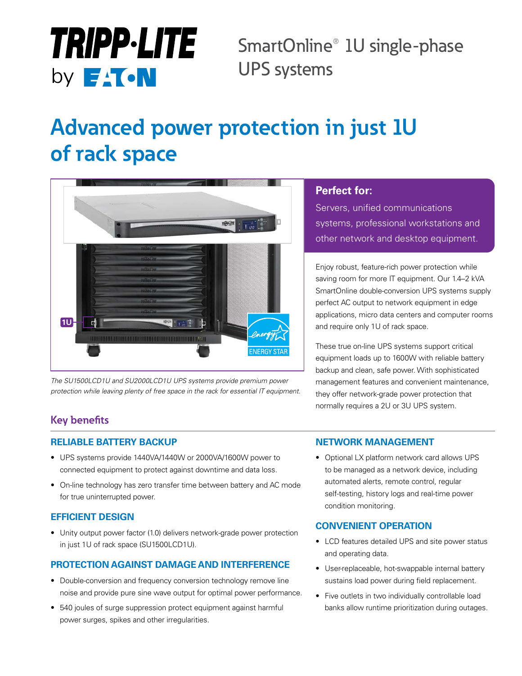# **TRIPP.LITE** by **E**<sup>1</sup> ON

SmartOnline® 1U single-phase UPS systems

# **Advanced power protection in just 1U of rack space**



*The SU1500LCD1U and SU2000LCD1U UPS systems provide premium power protection while leaving plenty of free space in the rack for essential IT equipment.*

## **Perfect for:**

Servers, unified communications systems, professional workstations and other network and desktop equipment.

Enjoy robust, feature-rich power protection while saving room for more IT equipment. Our 1.4–2 kVA SmartOnline double-conversion UPS systems supply perfect AC output to network equipment in edge applications, micro data centers and computer rooms and require only 1U of rack space.

These true on-line UPS systems support critical equipment loads up to 1600W with reliable battery backup and clean, safe power. With sophisticated management features and convenient maintenance, they offer network-grade power protection that normally requires a 2U or 3U UPS system.

# **Key benefits**

#### **RELIABLE BATTERY BACKUP**

- UPS systems provide 1440VA/1440W or 2000VA/1600W power to connected equipment to protect against downtime and data loss.
- On-line technology has zero transfer time between battery and AC mode for true uninterrupted power.

#### **EFFICIENT DESIGN**

• Unity output power factor (1.0) delivers network-grade power protection in just 1U of rack space (SU1500LCD1U).

## **PROTECTION AGAINST DAMAGE AND INTERFERENCE**

- Double-conversion and frequency conversion technology remove line noise and provide pure sine wave output for optimal power performance.
- 540 joules of surge suppression protect equipment against harmful power surges, spikes and other irregularities.

#### **NETWORK MANAGEMENT**

• Optional LX platform network card allows UPS to be managed as a network device, including automated alerts, remote control, regular self-testing, history logs and real-time power condition monitoring.

#### **CONVENIENT OPERATION**

- LCD features detailed UPS and site power status and operating data.
- User-replaceable, hot-swappable internal battery sustains load power during field replacement.
- Five outlets in two individually controllable load banks allow runtime prioritization during outages.